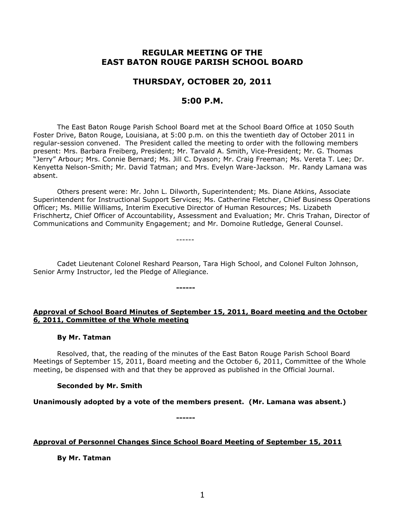# **REGULAR MEETING OF THE EAST BATON ROUGE PARISH SCHOOL BOARD**

# **THURSDAY, OCTOBER 20, 2011**

# **5:00 P.M.**

The East Baton Rouge Parish School Board met at the School Board Office at 1050 South Foster Drive, Baton Rouge, Louisiana, at 5:00 p.m. on this the twentieth day of October 2011 in regular-session convened. The President called the meeting to order with the following members present: Mrs. Barbara Freiberg, President; Mr. Tarvald A. Smith, Vice-President; Mr. G. Thomas "Jerry" Arbour; Mrs. Connie Bernard; Ms. Jill C. Dyason; Mr. Craig Freeman; Ms. Vereta T. Lee; Dr. Kenyetta Nelson-Smith; Mr. David Tatman; and Mrs. Evelyn Ware-Jackson. Mr. Randy Lamana was absent.

Others present were: Mr. John L. Dilworth, Superintendent; Ms. Diane Atkins, Associate Superintendent for Instructional Support Services; Ms. Catherine Fletcher, Chief Business Operations Officer; Ms. Millie Williams, Interim Executive Director of Human Resources; Ms. Lizabeth Frischhertz, Chief Officer of Accountability, Assessment and Evaluation; Mr. Chris Trahan, Director of Communications and Community Engagement; and Mr. Domoine Rutledge, General Counsel.

Cadet Lieutenant Colonel Reshard Pearson, Tara High School, and Colonel Fulton Johnson, Senior Army Instructor, led the Pledge of Allegiance.

------

**------**

## **Approval of School Board Minutes of September 15, 2011, Board meeting and the October 6, 2011, Committee of the Whole meeting**

#### **By Mr. Tatman**

Resolved, that, the reading of the minutes of the East Baton Rouge Parish School Board Meetings of September 15, 2011, Board meeting and the October 6, 2011, Committee of the Whole meeting, be dispensed with and that they be approved as published in the Official Journal.

## **Seconded by Mr. Smith**

**Unanimously adopted by a vote of the members present. (Mr. Lamana was absent.)**

**------**

**Approval of Personnel Changes Since School Board Meeting of September 15, 2011**

**By Mr. Tatman**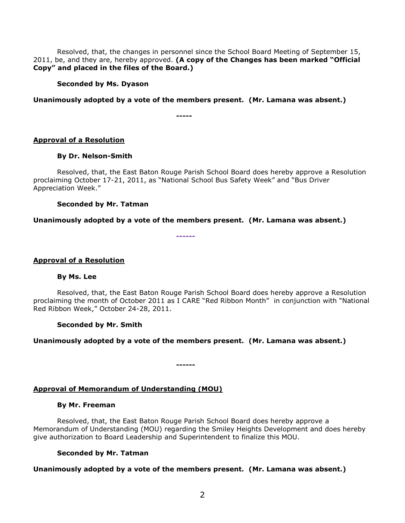Resolved, that, the changes in personnel since the School Board Meeting of September 15, 2011, be, and they are, hereby approved. **(A copy of the Changes has been marked "Official Copy" and placed in the files of the Board.)**

#### **Seconded by Ms. Dyason**

#### **Unanimously adopted by a vote of the members present. (Mr. Lamana was absent.)**

**-----**

#### **Approval of a Resolution**

#### **By Dr. Nelson-Smith**

Resolved, that, the East Baton Rouge Parish School Board does hereby approve a Resolution proclaiming October 17-21, 2011, as "National School Bus Safety Week" and "Bus Driver Appreciation Week."

#### **Seconded by Mr. Tatman**

#### **Unanimously adopted by a vote of the members present. (Mr. Lamana was absent.)**

**------**

#### **Approval of a Resolution**

#### **By Ms. Lee**

Resolved, that, the East Baton Rouge Parish School Board does hereby approve a Resolution proclaiming the month of October 2011 as I CARE "Red Ribbon Month" in conjunction with "National Red Ribbon Week," October 24-28, 2011.

#### **Seconded by Mr. Smith**

## **Unanimously adopted by a vote of the members present. (Mr. Lamana was absent.)**

**------**

## **Approval of Memorandum of Understanding (MOU)**

#### **By Mr. Freeman**

Resolved, that, the East Baton Rouge Parish School Board does hereby approve a Memorandum of Understanding (MOU) regarding the Smiley Heights Development and does hereby give authorization to Board Leadership and Superintendent to finalize this MOU.

## **Seconded by Mr. Tatman**

## **Unanimously adopted by a vote of the members present. (Mr. Lamana was absent.)**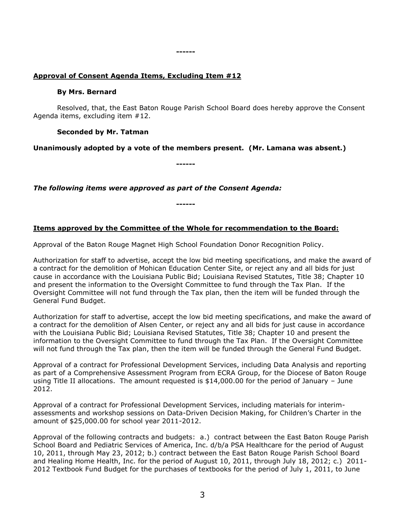#### **------**

## **Approval of Consent Agenda Items, Excluding Item #12**

#### **By Mrs. Bernard**

Resolved, that, the East Baton Rouge Parish School Board does hereby approve the Consent Agenda items, excluding item #12.

## **Seconded by Mr. Tatman**

**Unanimously adopted by a vote of the members present. (Mr. Lamana was absent.)**

**------**

*The following items were approved as part of the Consent Agenda:*

**------**

# **Items approved by the Committee of the Whole for recommendation to the Board:**

Approval of the Baton Rouge Magnet High School Foundation Donor Recognition Policy.

Authorization for staff to advertise, accept the low bid meeting specifications, and make the award of a contract for the demolition of Mohican Education Center Site, or reject any and all bids for just cause in accordance with the Louisiana Public Bid; Louisiana Revised Statutes, Title 38; Chapter 10 and present the information to the Oversight Committee to fund through the Tax Plan. If the Oversight Committee will not fund through the Tax plan, then the item will be funded through the General Fund Budget.

Authorization for staff to advertise, accept the low bid meeting specifications, and make the award of a contract for the demolition of Alsen Center, or reject any and all bids for just cause in accordance with the Louisiana Public Bid; Louisiana Revised Statutes, Title 38; Chapter 10 and present the information to the Oversight Committee to fund through the Tax Plan. If the Oversight Committee will not fund through the Tax plan, then the item will be funded through the General Fund Budget.

Approval of a contract for Professional Development Services, including Data Analysis and reporting as part of a Comprehensive Assessment Program from ECRA Group, for the Diocese of Baton Rouge using Title II allocations. The amount requested is \$14,000.00 for the period of January - June 2012.

Approval of a contract for Professional Development Services, including materials for interimassessments and workshop sessions on Data-Driven Decision Making, for Children's Charter in the amount of \$25,000.00 for school year 2011-2012.

Approval of the following contracts and budgets: a.) contract between the East Baton Rouge Parish School Board and Pediatric Services of America, Inc. d/b/a PSA Healthcare for the period of August 10, 2011, through May 23, 2012; b.) contract between the East Baton Rouge Parish School Board and Healing Home Health, Inc. for the period of August 10, 2011, through July 18, 2012; c.) 2011- 2012 Textbook Fund Budget for the purchases of textbooks for the period of July 1, 2011, to June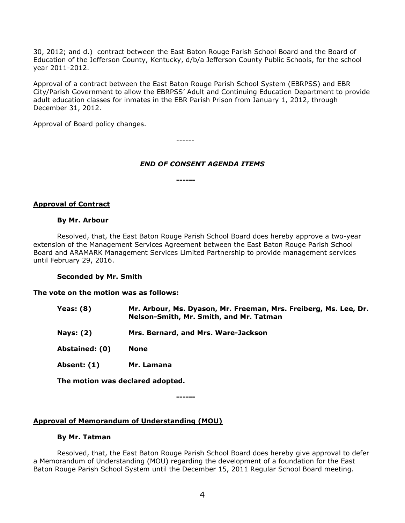30, 2012; and d.) contract between the East Baton Rouge Parish School Board and the Board of Education of the Jefferson County, Kentucky, d/b/a Jefferson County Public Schools, for the school year 2011-2012.

Approval of a contract between the East Baton Rouge Parish School System (EBRPSS) and EBR City/Parish Government to allow the EBRPSS' Adult and Continuing Education Department to provide adult education classes for inmates in the EBR Parish Prison from January 1, 2012, through December 31, 2012.

Approval of Board policy changes.

------

## *END OF CONSENT AGENDA ITEMS*

**------**

## **Approval of Contract**

#### **By Mr. Arbour**

Resolved, that, the East Baton Rouge Parish School Board does hereby approve a two-year extension of the Management Services Agreement between the East Baton Rouge Parish School Board and ARAMARK Management Services Limited Partnership to provide management services until February 29, 2016.

## **Seconded by Mr. Smith**

## **The vote on the motion was as follows:**

| <b>Yeas: (8)</b> | Mr. Arbour, Ms. Dyason, Mr. Freeman, Mrs. Freiberg, Ms. Lee, Dr.<br>Nelson-Smith, Mr. Smith, and Mr. Tatman |
|------------------|-------------------------------------------------------------------------------------------------------------|
| <b>Nays: (2)</b> | Mrs. Bernard, and Mrs. Ware-Jackson                                                                         |
| Abstained: (0)   | <b>None</b>                                                                                                 |
| Absent: (1)      | Mr. Lamana                                                                                                  |
|                  |                                                                                                             |

**The motion was declared adopted.**

**------**

# **Approval of Memorandum of Understanding (MOU)**

#### **By Mr. Tatman**

Resolved, that, the East Baton Rouge Parish School Board does hereby give approval to defer a Memorandum of Understanding (MOU) regarding the development of a foundation for the East Baton Rouge Parish School System until the December 15, 2011 Regular School Board meeting.